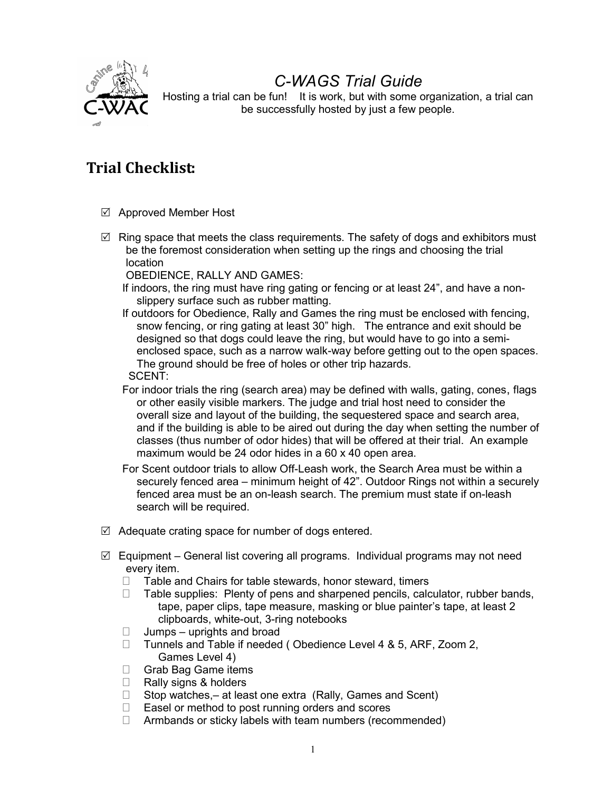

# C-WAGS Trial Guide

Hosting a trial can be fun! It is work, but with some organization, a trial can be successfully hosted by just a few people.

# Trial Checklist:

- Approved Member Host
- $\boxtimes$  Ring space that meets the class requirements. The safety of dogs and exhibitors must be the foremost consideration when setting up the rings and choosing the trial location

OBEDIENCE, RALLY AND GAMES:

- If indoors, the ring must have ring gating or fencing or at least 24", and have a nonslippery surface such as rubber matting.
- If outdoors for Obedience, Rally and Games the ring must be enclosed with fencing, snow fencing, or ring gating at least 30" high. The entrance and exit should be designed so that dogs could leave the ring, but would have to go into a semienclosed space, such as a narrow walk-way before getting out to the open spaces. The ground should be free of holes or other trip hazards. SCENT:
- For indoor trials the ring (search area) may be defined with walls, gating, cones, flags or other easily visible markers. The judge and trial host need to consider the overall size and layout of the building, the sequestered space and search area, and if the building is able to be aired out during the day when setting the number of classes (thus number of odor hides) that will be offered at their trial. An example maximum would be 24 odor hides in a 60 x 40 open area.
- For Scent outdoor trials to allow Off-Leash work, the Search Area must be within a securely fenced area – minimum height of 42". Outdoor Rings not within a securely fenced area must be an on-leash search. The premium must state if on-leash search will be required.
- $\boxtimes$  Adequate crating space for number of dogs entered.
- $\boxtimes$  Equipment General list covering all programs. Individual programs may not need every item.
	- $\Box$  Table and Chairs for table stewards, honor steward, timers
	- $\Box$  Table supplies: Plenty of pens and sharpened pencils, calculator, rubber bands, tape, paper clips, tape measure, masking or blue painter's tape, at least 2 clipboards, white-out, 3-ring notebooks
	- $\Box$  Jumps uprights and broad
	- □ Tunnels and Table if needed (Obedience Level 4 & 5, ARF, Zoom 2, Games Level 4)
	- Grab Bag Game items
	- $\Box$  Rally signs & holders
	- $\Box$  Stop watches, at least one extra (Rally, Games and Scent)
	- $\Box$  Easel or method to post running orders and scores
	- $\Box$  Armbands or sticky labels with team numbers (recommended)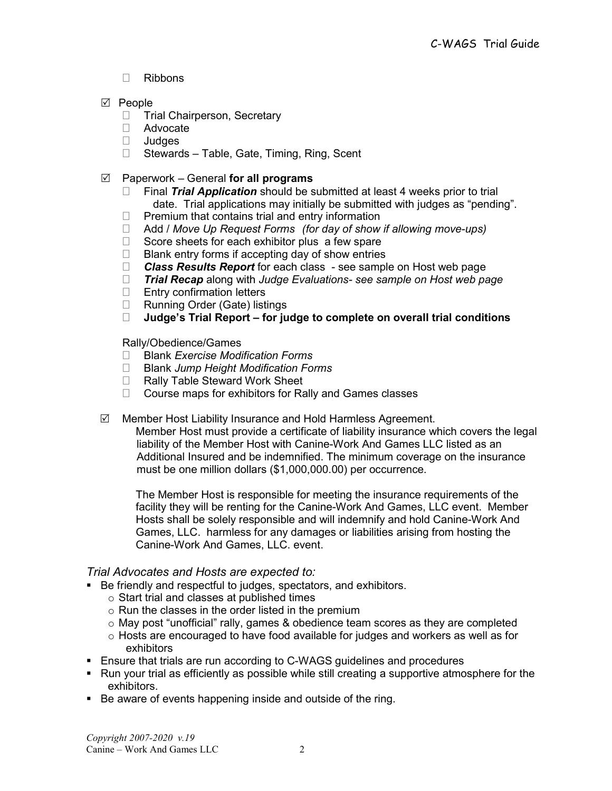- Ribbons
- $\nabla$  People
	- □ Trial Chairperson, Secretary
	- Advocate
	- Judges
	- □ Stewards Table, Gate, Timing, Ring, Scent
- $\boxtimes$  Paperwork General for all programs
	- $\Box$  Final Trial Application should be submitted at least 4 weeks prior to trial date. Trial applications may initially be submitted with judges as "pending".
	- $\Box$  Premium that contains trial and entry information
	- $\Box$  Add / Move Up Request Forms (for day of show if allowing move-ups)
	- $\Box$  Score sheets for each exhibitor plus a few spare
	- $\Box$  Blank entry forms if accepting day of show entries
	- $\Box$  **Class Results Report** for each class see sample on Host web page
	- $\Box$  Trial Recap along with Judge Evaluations- see sample on Host web page
	- $\Box$  Entry confirmation letters
	- □ Running Order (Gate) listings<br>□ **Judge's Trial Report for iu**
	- Judge's Trial Report for judge to complete on overall trial conditions

Rally/Obedience/Games

- $\Box$  Blank Exercise Modification Forms
- $\Box$  Blank Jump Height Modification Forms
- □ Rally Table Steward Work Sheet
- $\Box$  Course maps for exhibitors for Rally and Games classes
- $\boxtimes$  Member Host Liability Insurance and Hold Harmless Agreement.

Member Host must provide a certificate of liability insurance which covers the legal liability of the Member Host with Canine-Work And Games LLC listed as an Additional Insured and be indemnified. The minimum coverage on the insurance must be one million dollars (\$1,000,000.00) per occurrence.

The Member Host is responsible for meeting the insurance requirements of the facility they will be renting for the Canine-Work And Games, LLC event. Member Hosts shall be solely responsible and will indemnify and hold Canine-Work And Games, LLC. harmless for any damages or liabilities arising from hosting the Canine-Work And Games, LLC. event.

# Trial Advocates and Hosts are expected to:

- Be friendly and respectful to judges, spectators, and exhibitors.
	- o Start trial and classes at published times
	- $\circ$  Run the classes in the order listed in the premium
	- $\circ$  May post "unofficial" rally, games & obedience team scores as they are completed
	- $\circ$  Hosts are encouraged to have food available for judges and workers as well as for exhibitors
- Ensure that trials are run according to C-WAGS guidelines and procedures
- Run your trial as efficiently as possible while still creating a supportive atmosphere for the exhibitors.
- Be aware of events happening inside and outside of the ring.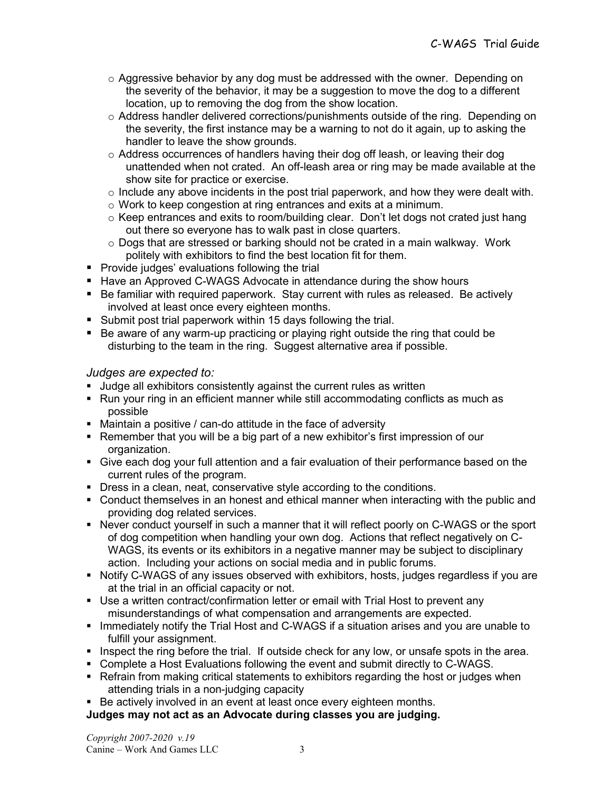- $\circ$  Aggressive behavior by any dog must be addressed with the owner. Depending on the severity of the behavior, it may be a suggestion to move the dog to a different location, up to removing the dog from the show location.
- $\circ$  Address handler delivered corrections/punishments outside of the ring. Depending on the severity, the first instance may be a warning to not do it again, up to asking the handler to leave the show grounds.
- o Address occurrences of handlers having their dog off leash, or leaving their dog unattended when not crated. An off-leash area or ring may be made available at the show site for practice or exercise.
- $\circ$  Include any above incidents in the post trial paperwork, and how they were dealt with.
- o Work to keep congestion at ring entrances and exits at a minimum.
- $\circ$  Keep entrances and exits to room/building clear. Don't let dogs not crated just hang out there so everyone has to walk past in close quarters.
- $\circ$  Dogs that are stressed or barking should not be crated in a main walkway. Work politely with exhibitors to find the best location fit for them.
- **Provide judges' evaluations following the trial**
- Have an Approved C-WAGS Advocate in attendance during the show hours
- Be familiar with required paperwork. Stay current with rules as released. Be actively involved at least once every eighteen months.
- Submit post trial paperwork within 15 days following the trial.
- Be aware of any warm-up practicing or playing right outside the ring that could be disturbing to the team in the ring. Suggest alternative area if possible.

## Judges are expected to:

- **Judge all exhibitors consistently against the current rules as written**
- Run your ring in an efficient manner while still accommodating conflicts as much as possible
- Maintain a positive / can-do attitude in the face of adversity
- Remember that you will be a big part of a new exhibitor's first impression of our organization.
- Give each dog your full attention and a fair evaluation of their performance based on the current rules of the program.
- Dress in a clean, neat, conservative style according to the conditions.
- Conduct themselves in an honest and ethical manner when interacting with the public and providing dog related services.
- Never conduct yourself in such a manner that it will reflect poorly on C-WAGS or the sport of dog competition when handling your own dog. Actions that reflect negatively on C-WAGS, its events or its exhibitors in a negative manner may be subject to disciplinary action. Including your actions on social media and in public forums.
- Notify C-WAGS of any issues observed with exhibitors, hosts, judges regardless if you are at the trial in an official capacity or not.
- Use a written contract/confirmation letter or email with Trial Host to prevent any misunderstandings of what compensation and arrangements are expected.
- **IMMED 19 Immediately notify the Trial Host and C-WAGS if a situation arises and you are unable to** fulfill your assignment.
- Inspect the ring before the trial. If outside check for any low, or unsafe spots in the area.
- Complete a Host Evaluations following the event and submit directly to C-WAGS.
- **Refrain from making critical statements to exhibitors regarding the host or judges when** attending trials in a non-judging capacity
- Be actively involved in an event at least once every eighteen months.

# Judges may not act as an Advocate during classes you are judging.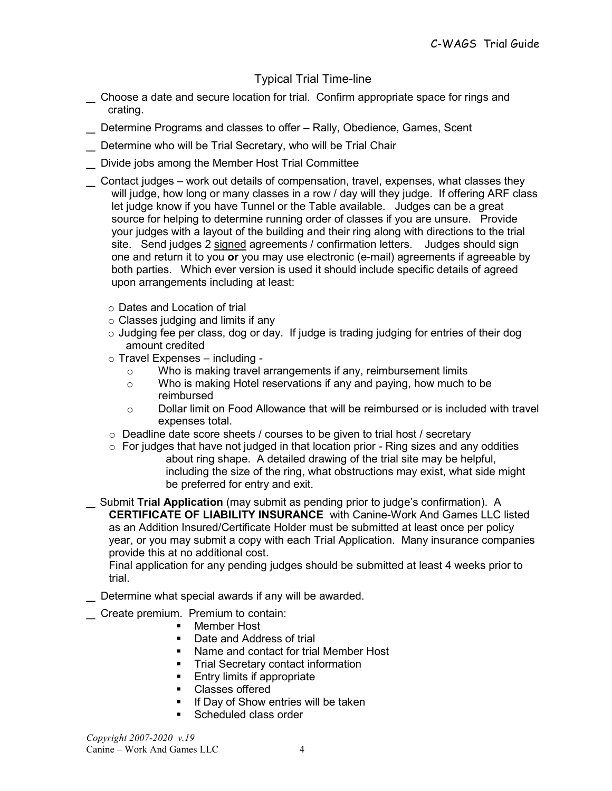# Typical Trial Time-line

- \_ Choose a date and secure location for trial. Confirm appropriate space for rings and crating.
- \_ Determine Programs and classes to offer Rally, Obedience, Games, Scent
- Determine who will be Trial Secretary, who will be Trial Chair
- \_ Divide jobs among the Member Host Trial Committee
- \_ Contact judges work out details of compensation, travel, expenses, what classes they will judge, how long or many classes in a row / day will they judge. If offering ARF class let judge know if you have Tunnel or the Table available. Judges can be a great source for helping to determine running order of classes if you are unsure. Provide your judges with a layout of the building and their ring along with directions to the trial site. Send judges 2 signed agreements / confirmation letters. Judges should sign one and return it to you or you may use electronic (e-mail) agreements if agreeable by both parties. Which ever version is used it should include specific details of agreed upon arrangements including at least:
	- o Dates and Location of trial
	- $\circ$  Classes judging and limits if any
	- o Judging fee per class, dog or day. If judge is trading judging for entries of their dog amount credited
	- $\circ$  Travel Expenses including
		- o Who is making travel arrangements if any, reimbursement limits
		- o Who is making Hotel reservations if any and paying, how much to be reimbursed
		- $\circ$  Dollar limit on Food Allowance that will be reimbursed or is included with travel expenses total.
	- o Deadline date score sheets / courses to be given to trial host / secretary
	- $\circ$  For judges that have not judged in that location prior Ring sizes and any oddities about ring shape. A detailed drawing of the trial site may be helpful, including the size of the ring, what obstructions may exist, what side might be preferred for entry and exit.
- Submit Trial Application (may submit as pending prior to judge's confirmation). A CERTIFICATE OF LIABILITY INSURANCE with Canine-Work And Games LLC listed as an Addition Insured/Certificate Holder must be submitted at least once per policy year, or you may submit a copy with each Trial Application. Many insurance companies provide this at no additional cost.

Final application for any pending judges should be submitted at least 4 weeks prior to trial.

- \_ Determine what special awards if any will be awarded.
- Create premium. Premium to contain:
	- **Member Host**
	- Date and Address of trial
	- Name and contact for trial Member Host
	- **Trial Secretary contact information**
	- **Entry limits if appropriate**
	- Classes offered
	- If Day of Show entries will be taken
	- Scheduled class order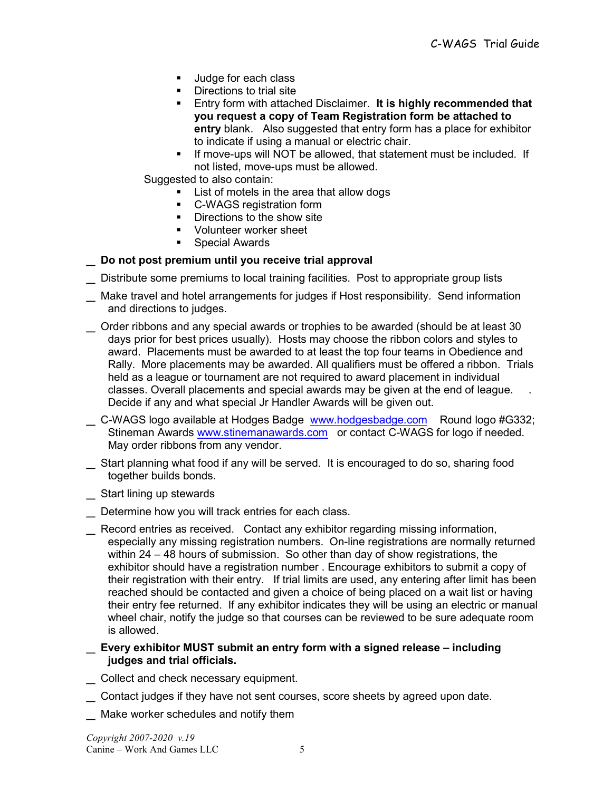- **Judge for each class**
- Directions to trial site
- **Entry form with attached Disclaimer. It is highly recommended that** you request a copy of Team Registration form be attached to entry blank. Also suggested that entry form has a place for exhibitor to indicate if using a manual or electric chair.
- **If move-ups will NOT be allowed, that statement must be included. If** not listed, move-ups must be allowed.

Suggested to also contain:

- **EXECUTE:** List of motels in the area that allow dogs
- C-WAGS registration form
- **Directions to the show site**
- **Volunteer worker sheet**
- **Special Awards**

#### Do not post premium until you receive trial approval

- Distribute some premiums to local training facilities. Post to appropriate group lists
- \_ Make travel and hotel arrangements for judges if Host responsibility. Send information and directions to judges.
- \_ Order ribbons and any special awards or trophies to be awarded (should be at least 30 days prior for best prices usually). Hosts may choose the ribbon colors and styles to award. Placements must be awarded to at least the top four teams in Obedience and Rally. More placements may be awarded. All qualifiers must be offered a ribbon. Trials held as a league or tournament are not required to award placement in individual classes. Overall placements and special awards may be given at the end of league. . Decide if any and what special Jr Handler Awards will be given out.
- L C-WAGS logo available at Hodges Badge www.hodgesbadge.com Round logo #G332; Stineman Awards www.stinemanawards.com or contact C-WAGS for logo if needed. May order ribbons from any vendor.
- \_ Start planning what food if any will be served. It is encouraged to do so, sharing food together builds bonds.
- Start lining up stewards
- \_ Determine how you will track entries for each class.
- \_ Record entries as received. Contact any exhibitor regarding missing information, especially any missing registration numbers. On-line registrations are normally returned within 24 – 48 hours of submission. So other than day of show registrations, the exhibitor should have a registration number . Encourage exhibitors to submit a copy of their registration with their entry. If trial limits are used, any entering after limit has been reached should be contacted and given a choice of being placed on a wait list or having their entry fee returned. If any exhibitor indicates they will be using an electric or manual wheel chair, notify the judge so that courses can be reviewed to be sure adequate room is allowed.
- \_ Every exhibitor MUST submit an entry form with a signed release including judges and trial officials.
- \_ Collect and check necessary equipment.
- Contact judges if they have not sent courses, score sheets by agreed upon date.
- Make worker schedules and notify them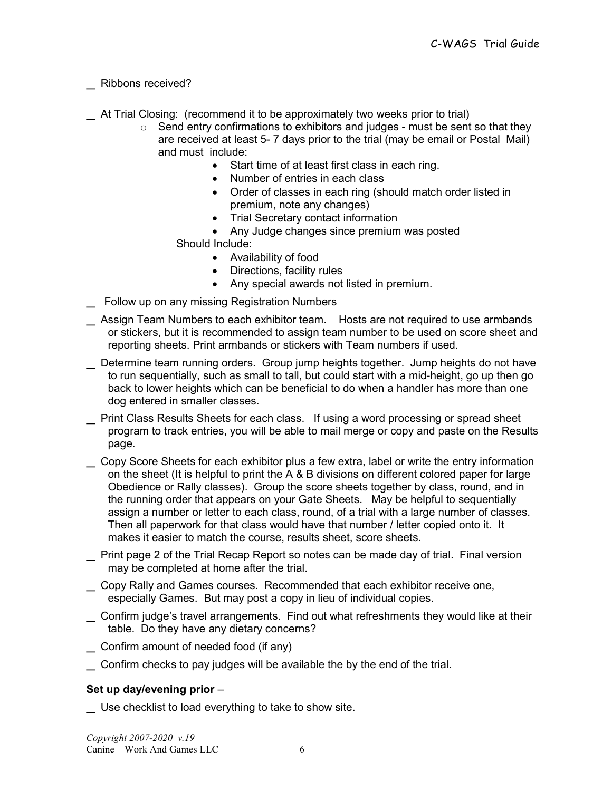# \_ Ribbons received?

\_ At Trial Closing: (recommend it to be approximately two weeks prior to trial)

- $\circ$  Send entry confirmations to exhibitors and judges must be sent so that they are received at least 5- 7 days prior to the trial (may be email or Postal Mail) and must include:
	- Start time of at least first class in each ring.
	- Number of entries in each class
	- Order of classes in each ring (should match order listed in premium, note any changes)
	- Trial Secretary contact information
	- Any Judge changes since premium was posted Should Include:
		- Availability of food
		- Directions, facility rules
		- Any special awards not listed in premium.
- Follow up on any missing Registration Numbers
- Assign Team Numbers to each exhibitor team. Hosts are not required to use armbands or stickers, but it is recommended to assign team number to be used on score sheet and reporting sheets. Print armbands or stickers with Team numbers if used.
- \_ Determine team running orders. Group jump heights together. Jump heights do not have to run sequentially, such as small to tall, but could start with a mid-height, go up then go back to lower heights which can be beneficial to do when a handler has more than one dog entered in smaller classes.
- \_ Print Class Results Sheets for each class. If using a word processing or spread sheet program to track entries, you will be able to mail merge or copy and paste on the Results page.
- Copy Score Sheets for each exhibitor plus a few extra, label or write the entry information on the sheet (It is helpful to print the A & B divisions on different colored paper for large Obedience or Rally classes). Group the score sheets together by class, round, and in the running order that appears on your Gate Sheets. May be helpful to sequentially assign a number or letter to each class, round, of a trial with a large number of classes. Then all paperwork for that class would have that number / letter copied onto it. It makes it easier to match the course, results sheet, score sheets.
- \_ Print page 2 of the Trial Recap Report so notes can be made day of trial. Final version may be completed at home after the trial.
- \_ Copy Rally and Games courses. Recommended that each exhibitor receive one, especially Games. But may post a copy in lieu of individual copies.
- \_ Confirm judge's travel arrangements. Find out what refreshments they would like at their table. Do they have any dietary concerns?
- \_ Confirm amount of needed food (if any)
- \_ Confirm checks to pay judges will be available the by the end of the trial.

#### Set up day/evening prior –

\_ Use checklist to load everything to take to show site.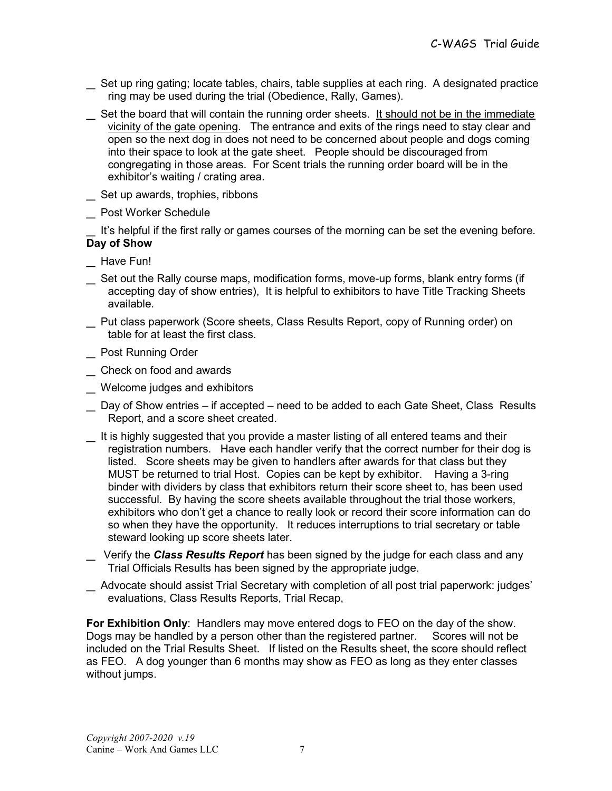- Set up ring gating; locate tables, chairs, table supplies at each ring. A designated practice ring may be used during the trial (Obedience, Rally, Games).
- Set the board that will contain the running order sheets. It should not be in the immediate vicinity of the gate opening. The entrance and exits of the rings need to stay clear and open so the next dog in does not need to be concerned about people and dogs coming into their space to look at the gate sheet. People should be discouraged from congregating in those areas. For Scent trials the running order board will be in the exhibitor's waiting / crating area.
- \_ Set up awards, trophies, ribbons
- \_ Post Worker Schedule

It's helpful if the first rally or games courses of the morning can be set the evening before. Day of Show

- \_ Have Fun!
- \_ Set out the Rally course maps, modification forms, move-up forms, blank entry forms (if accepting day of show entries), It is helpful to exhibitors to have Title Tracking Sheets available.
- \_ Put class paperwork (Score sheets, Class Results Report, copy of Running order) on table for at least the first class.
- \_ Post Running Order
- \_ Check on food and awards
- Welcome judges and exhibitors
- \_ Day of Show entries if accepted need to be added to each Gate Sheet, Class Results Report, and a score sheet created.
- \_ It is highly suggested that you provide a master listing of all entered teams and their registration numbers. Have each handler verify that the correct number for their dog is listed. Score sheets may be given to handlers after awards for that class but they MUST be returned to trial Host. Copies can be kept by exhibitor. Having a 3-ring binder with dividers by class that exhibitors return their score sheet to, has been used successful. By having the score sheets available throughout the trial those workers, exhibitors who don't get a chance to really look or record their score information can do so when they have the opportunity. It reduces interruptions to trial secretary or table steward looking up score sheets later.
- Verify the Class Results Report has been signed by the judge for each class and any Trial Officials Results has been signed by the appropriate judge.
- \_ Advocate should assist Trial Secretary with completion of all post trial paperwork: judges' evaluations, Class Results Reports, Trial Recap,

For Exhibition Only: Handlers may move entered dogs to FEO on the day of the show. Dogs may be handled by a person other than the registered partner. Scores will not be included on the Trial Results Sheet. If listed on the Results sheet, the score should reflect as FEO. A dog younger than 6 months may show as FEO as long as they enter classes without jumps.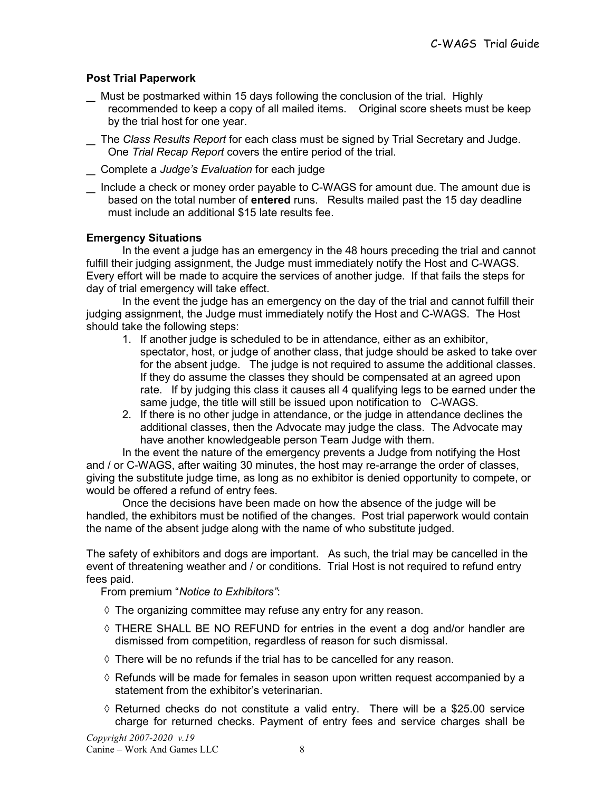# Post Trial Paperwork

- \_ Must be postmarked within 15 days following the conclusion of the trial. Highly recommended to keep a copy of all mailed items. Original score sheets must be keep by the trial host for one year.
- \_ The Class Results Report for each class must be signed by Trial Secretary and Judge. One Trial Recap Report covers the entire period of the trial.
- Complete a Judge's Evaluation for each judge
- Include a check or money order payable to C-WAGS for amount due. The amount due is based on the total number of entered runs. Results mailed past the 15 day deadline must include an additional \$15 late results fee.

## Emergency Situations

 In the event a judge has an emergency in the 48 hours preceding the trial and cannot fulfill their judging assignment, the Judge must immediately notify the Host and C-WAGS. Every effort will be made to acquire the services of another judge. If that fails the steps for day of trial emergency will take effect.

 In the event the judge has an emergency on the day of the trial and cannot fulfill their judging assignment, the Judge must immediately notify the Host and C-WAGS. The Host should take the following steps:

- 1. If another judge is scheduled to be in attendance, either as an exhibitor, spectator, host, or judge of another class, that judge should be asked to take over for the absent judge. The judge is not required to assume the additional classes. If they do assume the classes they should be compensated at an agreed upon rate. If by judging this class it causes all 4 qualifying legs to be earned under the same judge, the title will still be issued upon notification to C-WAGS.
- 2. If there is no other judge in attendance, or the judge in attendance declines the additional classes, then the Advocate may judge the class. The Advocate may have another knowledgeable person Team Judge with them.

In the event the nature of the emergency prevents a Judge from notifying the Host and / or C-WAGS, after waiting 30 minutes, the host may re-arrange the order of classes, giving the substitute judge time, as long as no exhibitor is denied opportunity to compete, or would be offered a refund of entry fees.

Once the decisions have been made on how the absence of the judge will be handled, the exhibitors must be notified of the changes. Post trial paperwork would contain the name of the absent judge along with the name of who substitute judged.

The safety of exhibitors and dogs are important. As such, the trial may be cancelled in the event of threatening weather and / or conditions. Trial Host is not required to refund entry fees paid.

From premium "Notice to Exhibitors":

- $\Diamond$  The organizing committee may refuse any entry for any reason.
- $\Diamond$  THERE SHALL BE NO REFUND for entries in the event a dog and/or handler are dismissed from competition, regardless of reason for such dismissal.
- $\Diamond$  There will be no refunds if the trial has to be cancelled for any reason.
- $\Diamond$  Refunds will be made for females in season upon written request accompanied by a statement from the exhibitor's veterinarian.
- $\Diamond$  Returned checks do not constitute a valid entry. There will be a \$25.00 service charge for returned checks. Payment of entry fees and service charges shall be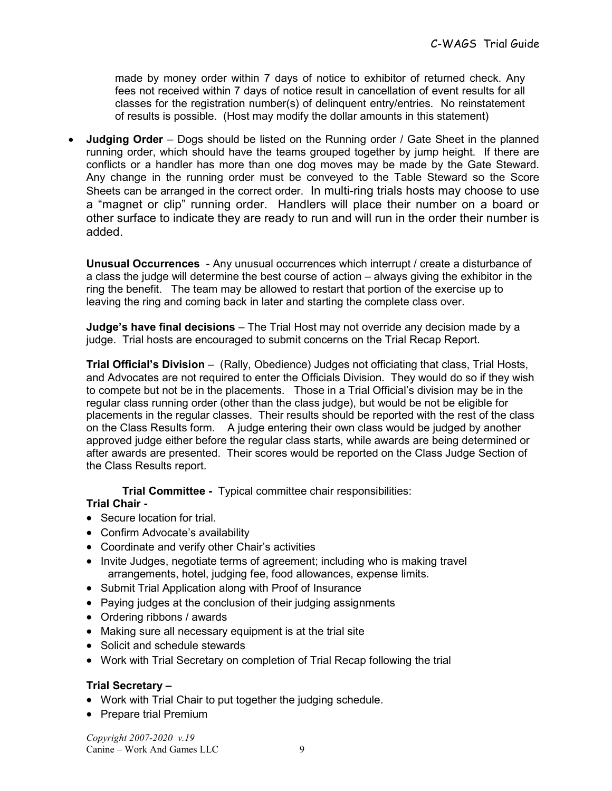made by money order within 7 days of notice to exhibitor of returned check. Any fees not received within 7 days of notice result in cancellation of event results for all classes for the registration number(s) of delinquent entry/entries. No reinstatement of results is possible. (Host may modify the dollar amounts in this statement)

**Judging Order** – Dogs should be listed on the Running order / Gate Sheet in the planned running order, which should have the teams grouped together by jump height. If there are conflicts or a handler has more than one dog moves may be made by the Gate Steward. Any change in the running order must be conveyed to the Table Steward so the Score Sheets can be arranged in the correct order. In multi-ring trials hosts may choose to use a "magnet or clip" running order. Handlers will place their number on a board or other surface to indicate they are ready to run and will run in the order their number is added.

Unusual Occurrences - Any unusual occurrences which interrupt / create a disturbance of a class the judge will determine the best course of action – always giving the exhibitor in the ring the benefit. The team may be allowed to restart that portion of the exercise up to leaving the ring and coming back in later and starting the complete class over.

Judge's have final decisions – The Trial Host may not override any decision made by a judge. Trial hosts are encouraged to submit concerns on the Trial Recap Report.

Trial Official's Division – (Rally, Obedience) Judges not officiating that class, Trial Hosts, and Advocates are not required to enter the Officials Division. They would do so if they wish to compete but not be in the placements. Those in a Trial Official's division may be in the regular class running order (other than the class judge), but would be not be eligible for placements in the regular classes. Their results should be reported with the rest of the class on the Class Results form. A judge entering their own class would be judged by another approved judge either before the regular class starts, while awards are being determined or after awards are presented. Their scores would be reported on the Class Judge Section of the Class Results report.

Trial Committee - Typical committee chair responsibilities:

#### Trial Chair -

- Secure location for trial.
- Confirm Advocate's availability
- Coordinate and verify other Chair's activities
- Invite Judges, negotiate terms of agreement; including who is making travel arrangements, hotel, judging fee, food allowances, expense limits.
- Submit Trial Application along with Proof of Insurance
- Paying judges at the conclusion of their judging assignments
- Ordering ribbons / awards
- Making sure all necessary equipment is at the trial site
- Solicit and schedule stewards
- Work with Trial Secretary on completion of Trial Recap following the trial

# Trial Secretary –

- Work with Trial Chair to put together the judging schedule.
- Prepare trial Premium

Copyright 2007-2020 v.19 Canine – Work And Games LLC 9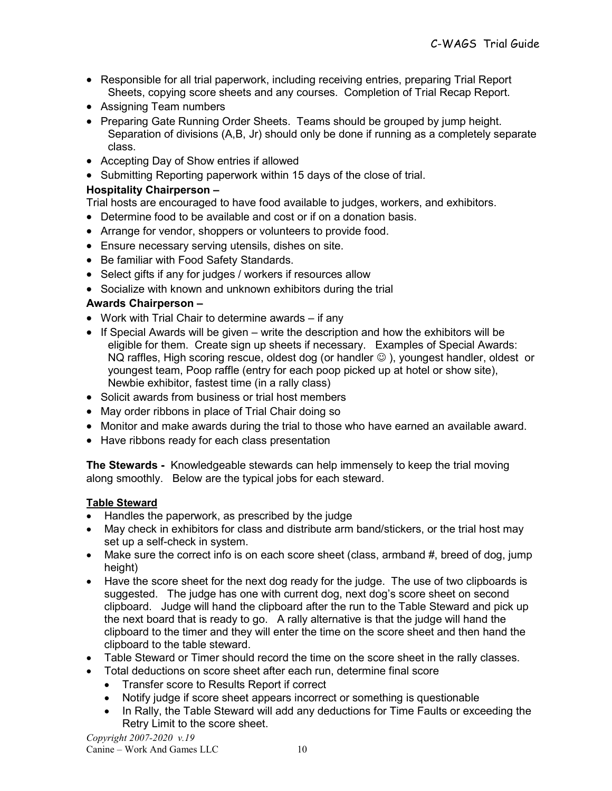- Responsible for all trial paperwork, including receiving entries, preparing Trial Report Sheets, copying score sheets and any courses. Completion of Trial Recap Report.
- Assigning Team numbers
- Preparing Gate Running Order Sheets. Teams should be grouped by jump height. Separation of divisions (A,B, Jr) should only be done if running as a completely separate class.
- Accepting Day of Show entries if allowed
- Submitting Reporting paperwork within 15 days of the close of trial.

## Hospitality Chairperson –

Trial hosts are encouraged to have food available to judges, workers, and exhibitors.

- Determine food to be available and cost or if on a donation basis.
- Arrange for vendor, shoppers or volunteers to provide food.
- Ensure necessary serving utensils, dishes on site.
- Be familiar with Food Safety Standards.
- Select gifts if any for judges / workers if resources allow
- Socialize with known and unknown exhibitors during the trial

## Awards Chairperson –

- Work with Trial Chair to determine awards if any
- $\bullet$  If Special Awards will be given write the description and how the exhibitors will be eligible for them. Create sign up sheets if necessary. Examples of Special Awards: NQ raffles, High scoring rescue, oldest dog (or handler  $\odot$  ), youngest handler, oldest or youngest team, Poop raffle (entry for each poop picked up at hotel or show site), Newbie exhibitor, fastest time (in a rally class)
- Solicit awards from business or trial host members
- May order ribbons in place of Trial Chair doing so
- Monitor and make awards during the trial to those who have earned an available award.
- Have ribbons ready for each class presentation

The Stewards - Knowledgeable stewards can help immensely to keep the trial moving along smoothly. Below are the typical jobs for each steward.

#### Table Steward

- Handles the paperwork, as prescribed by the judge
- May check in exhibitors for class and distribute arm band/stickers, or the trial host may set up a self-check in system.
- Make sure the correct info is on each score sheet (class, armband #, breed of dog, jump height)
- Have the score sheet for the next dog ready for the judge. The use of two clipboards is suggested. The judge has one with current dog, next dog's score sheet on second clipboard. Judge will hand the clipboard after the run to the Table Steward and pick up the next board that is ready to go. A rally alternative is that the judge will hand the clipboard to the timer and they will enter the time on the score sheet and then hand the clipboard to the table steward.
- Table Steward or Timer should record the time on the score sheet in the rally classes.
- Total deductions on score sheet after each run, determine final score
	- Transfer score to Results Report if correct
	- Notify judge if score sheet appears incorrect or something is questionable
	- In Rally, the Table Steward will add any deductions for Time Faults or exceeding the Retry Limit to the score sheet.

Copyright 2007-2020 v.19 Canine – Work And Games LLC 10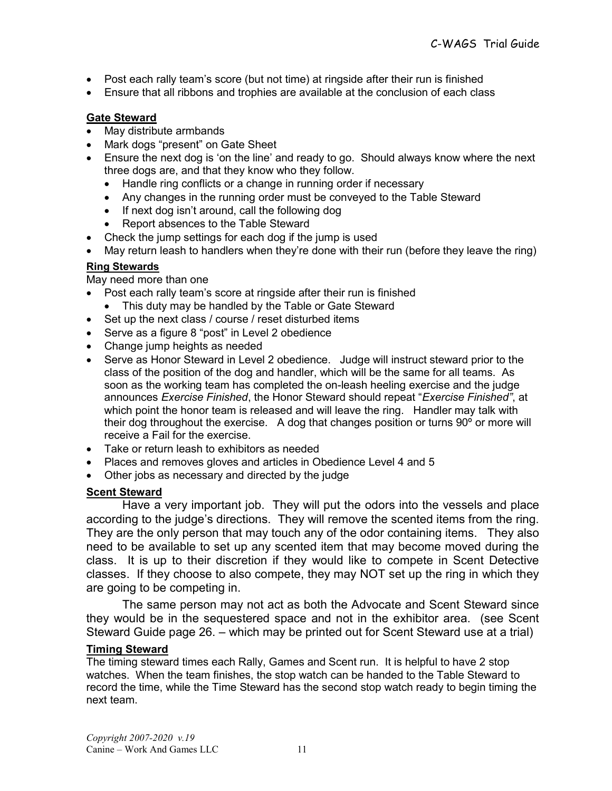- Post each rally team's score (but not time) at ringside after their run is finished
- Ensure that all ribbons and trophies are available at the conclusion of each class

#### Gate Steward

- May distribute armbands
- Mark dogs "present" on Gate Sheet
- Ensure the next dog is 'on the line' and ready to go. Should always know where the next three dogs are, and that they know who they follow.
	- Handle ring conflicts or a change in running order if necessary
	- Any changes in the running order must be conveyed to the Table Steward
	- If next dog isn't around, call the following dog
	- Report absences to the Table Steward
- Check the jump settings for each dog if the jump is used
- May return leash to handlers when they're done with their run (before they leave the ring)

## Ring Stewards

May need more than one

- Post each rally team's score at ringside after their run is finished
	- This duty may be handled by the Table or Gate Steward
- Set up the next class / course / reset disturbed items
- Serve as a figure 8 "post" in Level 2 obedience
- Change jump heights as needed
- Serve as Honor Steward in Level 2 obedience. Judge will instruct steward prior to the class of the position of the dog and handler, which will be the same for all teams. As soon as the working team has completed the on-leash heeling exercise and the judge announces Exercise Finished, the Honor Steward should repeat "Exercise Finished", at which point the honor team is released and will leave the ring. Handler may talk with their dog throughout the exercise. A dog that changes position or turns 90º or more will receive a Fail for the exercise.
- Take or return leash to exhibitors as needed
- Places and removes gloves and articles in Obedience Level 4 and 5
- Other jobs as necessary and directed by the judge

#### Scent Steward

Have a very important job. They will put the odors into the vessels and place according to the judge's directions. They will remove the scented items from the ring. They are the only person that may touch any of the odor containing items. They also need to be available to set up any scented item that may become moved during the class. It is up to their discretion if they would like to compete in Scent Detective classes. If they choose to also compete, they may NOT set up the ring in which they are going to be competing in.

The same person may not act as both the Advocate and Scent Steward since they would be in the sequestered space and not in the exhibitor area. (see Scent Steward Guide page 26. – which may be printed out for Scent Steward use at a trial)

#### Timing Steward

The timing steward times each Rally, Games and Scent run. It is helpful to have 2 stop watches. When the team finishes, the stop watch can be handed to the Table Steward to record the time, while the Time Steward has the second stop watch ready to begin timing the next team.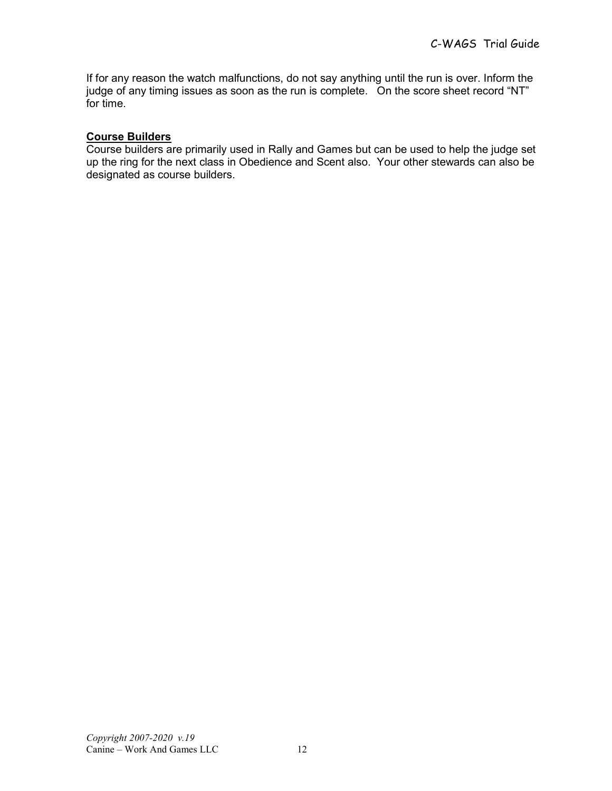If for any reason the watch malfunctions, do not say anything until the run is over. Inform the judge of any timing issues as soon as the run is complete. On the score sheet record "NT" for time.

#### Course Builders

Course builders are primarily used in Rally and Games but can be used to help the judge set up the ring for the next class in Obedience and Scent also. Your other stewards can also be designated as course builders.